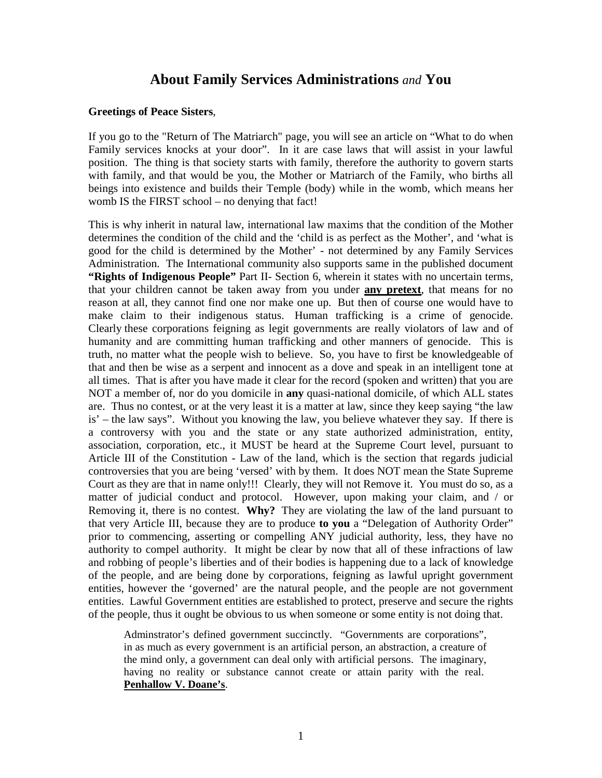# **About Family Services Administrations** *and* **You**

#### **Greetings of Peace Sisters**,

If you go to the "Return of The Matriarch" page, you will see an article on "What to do when Family services knocks at your door". In it are case laws that will assist in your lawful position. The thing is that society starts with family, therefore the authority to govern starts with family, and that would be you, the Mother or Matriarch of the Family, who births all beings into existence and builds their Temple (body) while in the womb, which means her womb IS the FIRST school – no denying that fact!

This is why inherit in natural law, international law maxims that the condition of the Mother determines the condition of the child and the 'child is as perfect as the Mother', and 'what is good for the child is determined by the Mother' - not determined by any Family Services Administration. The International community also supports same in the published document **"Rights of Indigenous People"** Part II- Section 6, wherein it states with no uncertain terms, that your children cannot be taken away from you under **any pretext**, that means for no reason at all, they cannot find one nor make one up. But then of course one would have to make claim to their indigenous status. Human trafficking is a crime of genocide. Clearly these corporations feigning as legit governments are really violators of law and of humanity and are committing human trafficking and other manners of genocide. This is truth, no matter what the people wish to believe. So, you have to first be knowledgeable of that and then be wise as a serpent and innocent as a dove and speak in an intelligent tone at all times. That is after you have made it clear for the record (spoken and written) that you are NOT a member of, nor do you domicile in **any** quasi-national domicile, of which ALL states are. Thus no contest, or at the very least it is a matter at law, since they keep saying "the law is' – the law says". Without you knowing the law, you believe whatever they say. If there is a controversy with you and the state or any state authorized administration, entity, association, corporation, etc., it MUST be heard at the Supreme Court level, pursuant to Article III of the Constitution - Law of the land, which is the section that regards judicial controversies that you are being 'versed' with by them. It does NOT mean the State Supreme Court as they are that in name only!!! Clearly, they will not Remove it. You must do so, as a matter of judicial conduct and protocol. However, upon making your claim, and / or Removing it, there is no contest. **Why?** They are violating the law of the land pursuant to that very Article III, because they are to produce **to you** a "Delegation of Authority Order" prior to commencing, asserting or compelling ANY judicial authority, less, they have no authority to compel authority. It might be clear by now that all of these infractions of law and robbing of people's liberties and of their bodies is happening due to a lack of knowledge of the people, and are being done by corporations, feigning as lawful upright government entities, however the 'governed' are the natural people, and the people are not government entities. Lawful Government entities are established to protect, preserve and secure the rights of the people, thus it ought be obvious to us when someone or some entity is not doing that.

Adminstrator's defined government succinctly. "Governments are corporations", in as much as every government is an artificial person, an abstraction, a creature of the mind only, a government can deal only with artificial persons. The imaginary, having no reality or substance cannot create or attain parity with the real. **Penhallow V. Doane's**.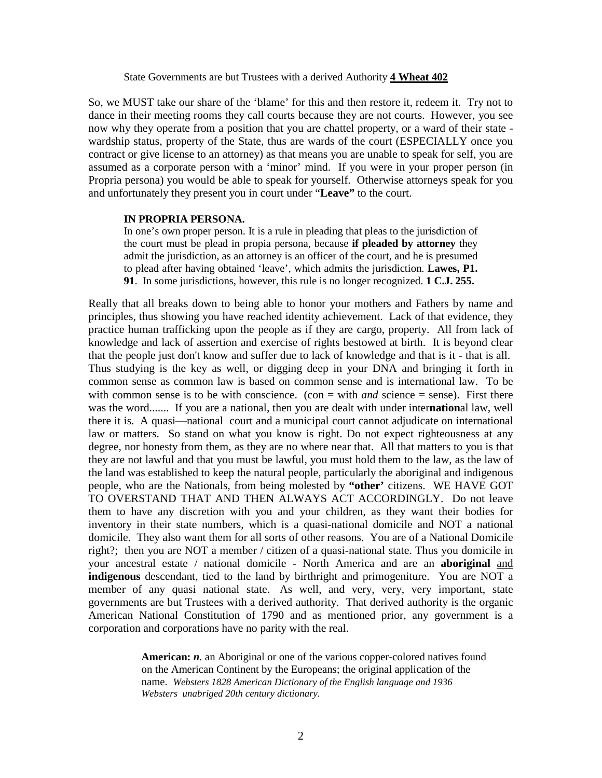#### State Governments are but Trustees with a derived Authority **4 Wheat 402**

So, we MUST take our share of the 'blame' for this and then restore it, redeem it. Try not to dance in their meeting rooms they call courts because they are not courts. However, you see now why they operate from a position that you are chattel property, or a ward of their state wardship status, property of the State, thus are wards of the court (ESPECIALLY once you contract or give license to an attorney) as that means you are unable to speak for self, you are assumed as a corporate person with a 'minor' mind. If you were in your proper person (in Propria persona) you would be able to speak for yourself. Otherwise attorneys speak for you and unfortunately they present you in court under "**Leave"** to the court.

#### **IN PROPRIA PERSONA.**

In one's own proper person. It is a rule in pleading that pleas to the jurisdiction of the court must be plead in propia persona, because **if pleaded by attorney** they admit the jurisdiction, as an attorney is an officer of the court, and he is presumed to plead after having obtained 'leave', which admits the jurisdiction. **Lawes, P1. 91**. In some jurisdictions, however, this rule is no longer recognized. **1 C.J. 255.**

Really that all breaks down to being able to honor your mothers and Fathers by name and principles, thus showing you have reached identity achievement. Lack of that evidence, they practice human trafficking upon the people as if they are cargo, property. All from lack of knowledge and lack of assertion and exercise of rights bestowed at birth. It is beyond clear that the people just don't know and suffer due to lack of knowledge and that is it - that is all. Thus studying is the key as well, or digging deep in your DNA and bringing it forth in common sense as common law is based on common sense and is international law. To be with common sense is to be with conscience. (con = with *and* science = sense). First there was the word....... If you are a national, then you are dealt with under inter**nation**al law, well there it is. A quasi—national court and a municipal court cannot adjudicate on international law or matters. So stand on what you know is right. Do not expect righteousness at any degree, nor honesty from them, as they are no where near that. All that matters to you is that they are not lawful and that you must be lawful, you must hold them to the law, as the law of the land was established to keep the natural people, particularly the aboriginal and indigenous people, who are the Nationals, from being molested by **"other'** citizens. WE HAVE GOT TO OVERSTAND THAT AND THEN ALWAYS ACT ACCORDINGLY. Do not leave them to have any discretion with you and your children, as they want their bodies for inventory in their state numbers, which is a quasi-national domicile and NOT a national domicile. They also want them for all sorts of other reasons. You are of a National Domicile right?; then you are NOT a member / citizen of a quasi-national state. Thus you domicile in your ancestral estate / national domicile - North America and are an **aboriginal** and **indigenous** descendant, tied to the land by birthright and primogeniture. You are NOT a member of any quasi national state. As well, and very, very, very important, state governments are but Trustees with a derived authority. That derived authority is the organic American National Constitution of 1790 and as mentioned prior, any government is a corporation and corporations have no parity with the real.

> **American:** *n.* an Aboriginal or one of the various copper-colored natives found on the American Continent by the Europeans; the original application of the name. *Websters 1828 American Dictionary of the English language and 1936 Websters unabriged 20th century dictionary.*